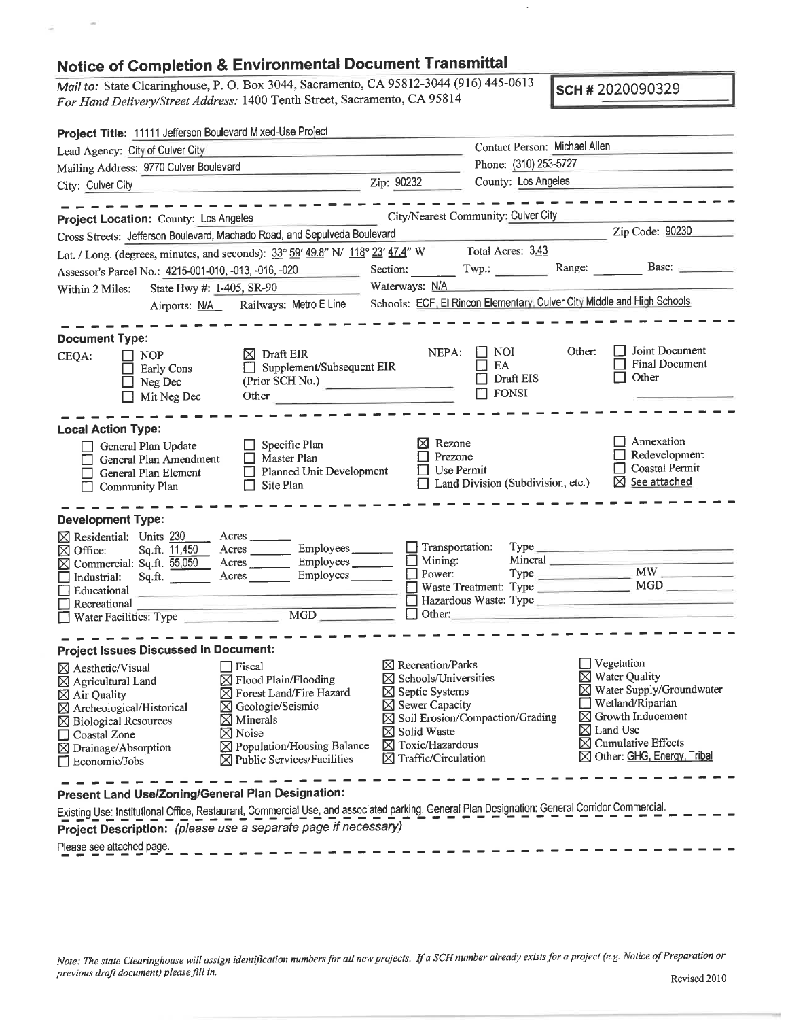## **Notice of Completion & Environmental Document Transmittal**

*Mail to:* State Clearinghouse, <sup>P</sup>. <sup>O</sup>. Box 3044. Sacramento, CA 95812-<sup>3044</sup> (916) <sup>445</sup>-<sup>0613</sup> *For Hand Delivery/Street Address:* 1400 Tenth Street, Sacramento, CA 95812-3044 (916) 445-0613<br> **SCH # 2020090329**<br> **SCH # 2020090329** 

| Project Title: 11111 Jefferson Boulevard Mixed-Use Project     |                                                                                                                                                                                                                                      |                                                                      |                                                  |                                                                         |  |
|----------------------------------------------------------------|--------------------------------------------------------------------------------------------------------------------------------------------------------------------------------------------------------------------------------------|----------------------------------------------------------------------|--------------------------------------------------|-------------------------------------------------------------------------|--|
| Lead Agency: City of Culver City                               |                                                                                                                                                                                                                                      | Contact Person: Michael Allen                                        |                                                  |                                                                         |  |
| Mailing Address: 9770 Culver Boulevard                         |                                                                                                                                                                                                                                      | Phone: (310) 253-5727                                                |                                                  |                                                                         |  |
| City: Culver City                                              | Zip: 90232                                                                                                                                                                                                                           | County: Los Angeles                                                  | and the control of the control of the control of |                                                                         |  |
|                                                                | --------                                                                                                                                                                                                                             |                                                                      |                                                  | ---------                                                               |  |
| Project Location: County: Los Angeles                          |                                                                                                                                                                                                                                      |                                                                      | City/Nearest Community: Culver City              |                                                                         |  |
|                                                                | Cross Streets: Jefferson Boulevard, Machado Road, and Sepulveda Boulevard                                                                                                                                                            |                                                                      |                                                  | Zip Code: 90230                                                         |  |
|                                                                | Lat. / Long. (degrees, minutes, and seconds): $33^{\circ}$ 59' 49.8" N/ $118^{\circ}$ 23' 47.4" W Total Acres: 3.43                                                                                                                  |                                                                      |                                                  |                                                                         |  |
| Assessor's Parcel No.: 4215-001-010, -013, -016, -020          |                                                                                                                                                                                                                                      |                                                                      | Section: Twp.: Range: Base:                      |                                                                         |  |
| State Hwy #: I-405, SR-90<br>Within 2 Miles:                   | Waterways: N/A                                                                                                                                                                                                                       |                                                                      |                                                  |                                                                         |  |
|                                                                | Airports: N/A Railways: Metro E Line                                                                                                                                                                                                 |                                                                      |                                                  | Schools: ECF, El Rincon Elementary, Culver City Middle and High Schools |  |
|                                                                |                                                                                                                                                                                                                                      |                                                                      |                                                  |                                                                         |  |
| <b>Document Type:</b>                                          |                                                                                                                                                                                                                                      |                                                                      | <b>NOI</b>                                       | Joint Document<br>Other:                                                |  |
| NOP<br>CEQA:<br>$\mathsf{L}$                                   | $\boxtimes$ Draft EIR<br>Supplement/Subsequent EIR                                                                                                                                                                                   | NEPA:                                                                | EA                                               | <b>Final Document</b>                                                   |  |
| Early Cons<br>Neg Dec                                          | (Prior SCH No.)                                                                                                                                                                                                                      |                                                                      | Draft EIS                                        | Other                                                                   |  |
| Mit Neg Dec                                                    | Other <u>2008 - 2008 - 2008 - 2008 - 2008 - 2008 - 2008 - 2008 - 2008 - 2008 - 2008 - 2008 - 2008 - 2008 - 2008 - 2008 - 2008 - 2008 - 2008 - 2008 - 2008 - 2008 - 2008 - 2008 - 2008 - 2008 - 2008 - 2008 - 2008 - 2008 - 2008 </u> |                                                                      | $\Box$ FONSI                                     |                                                                         |  |
|                                                                |                                                                                                                                                                                                                                      |                                                                      |                                                  |                                                                         |  |
| <b>Local Action Type:</b>                                      |                                                                                                                                                                                                                                      |                                                                      |                                                  |                                                                         |  |
| General Plan Update                                            | Specific Plan                                                                                                                                                                                                                        | $\boxtimes$ Rezone                                                   |                                                  | $\Box$ Annexation                                                       |  |
| General Plan Amendment                                         | Prezone                                                                                                                                                                                                                              |                                                                      | Redevelopment<br>Coastal Permit                  |                                                                         |  |
| General Plan Element                                           | Planned Unit Development                                                                                                                                                                                                             | Use Permit                                                           |                                                  | $\boxtimes$ See attached                                                |  |
| <b>Community Plan</b><br>$\mathsf{L}$                          | Site Plan                                                                                                                                                                                                                            |                                                                      | $\Box$ Land Division (Subdivision, etc.)         |                                                                         |  |
|                                                                |                                                                                                                                                                                                                                      |                                                                      |                                                  |                                                                         |  |
| <b>Development Type:</b><br>$\boxtimes$ Residential: Units 230 | Acres                                                                                                                                                                                                                                |                                                                      |                                                  |                                                                         |  |
| Sq.ft. 11,450<br>⊠ Office:                                     | Employees<br>Acres                                                                                                                                                                                                                   | $\Box$ Transportation:                                               |                                                  |                                                                         |  |
| $\boxtimes$ Commercial: Sq.ft. $\overline{55,050}$             |                                                                                                                                                                                                                                      | Mining:                                                              |                                                  |                                                                         |  |
| Sq.ft.<br>Industrial:                                          | Acres Employees                                                                                                                                                                                                                      | $\Box$ Power:                                                        |                                                  | $Type$ $MW$                                                             |  |
| Educational                                                    |                                                                                                                                                                                                                                      |                                                                      |                                                  | Waste Treatment: Type MGD                                               |  |
| $\Box$ Recreational                                            | □ Recreational<br>■ Water Facilities: Type ■ MGD MGD                                                                                                                                                                                 |                                                                      |                                                  |                                                                         |  |
|                                                                |                                                                                                                                                                                                                                      |                                                                      |                                                  |                                                                         |  |
| <b>Project Issues Discussed in Document:</b>                   |                                                                                                                                                                                                                                      |                                                                      |                                                  |                                                                         |  |
| ⊠ Aesthetic/Visual                                             | $\Box$ Fiscal                                                                                                                                                                                                                        | $\boxtimes$ Recreation/Parks                                         |                                                  | $\exists$ Vegetation                                                    |  |
| $\boxtimes$ Agricultural Land                                  | $\boxtimes$ Flood Plain/Flooding                                                                                                                                                                                                     | $\boxtimes$ Schools/Universities                                     |                                                  | $\boxtimes$ Water Quality                                               |  |
| $\boxtimes$ Air Quality                                        | ⊠ Forest Land/Fire Hazard                                                                                                                                                                                                            | ⊠ Water Supply/Groundwater<br>$\boxtimes$ Septic Systems             |                                                  |                                                                         |  |
| ⊠ Archeological/Historical                                     | ⊠ Geologic/Seismic                                                                                                                                                                                                                   | $\boxtimes$ Sewer Capacity                                           |                                                  | $\Box$ Wetland/Riparian<br>$\boxtimes$ Growth Inducement                |  |
| $\boxtimes$ Biological Resources                               | $\boxtimes$ Minerals                                                                                                                                                                                                                 |                                                                      | ⊠ Soil Erosion/Compaction/Grading                | $\boxtimes$ Land Use                                                    |  |
| Coastal Zone                                                   | $\boxtimes$ Noise                                                                                                                                                                                                                    | ⊠ Solid Waste<br>$\boxtimes$ Cumulative Effects<br>⊠ Toxic/Hazardous |                                                  |                                                                         |  |
| $\boxtimes$ Drainage/Absorption                                | $\boxtimes$ Population/Housing Balance<br>$\boxtimes$ Public Services/Facilities                                                                                                                                                     | ⊠ Other: GHG, Energy, Tribal<br>$\boxtimes$ Traffic/Circulation      |                                                  |                                                                         |  |
| $\Box$ Economic/Jobs                                           |                                                                                                                                                                                                                                      |                                                                      |                                                  |                                                                         |  |
|                                                                |                                                                                                                                                                                                                                      |                                                                      |                                                  |                                                                         |  |
| Present Land Use/Zoning/General Plan Designation:              | Existing Use: Institutional Office, Restaurant, Commercial Use, and associated parking. General Plan Designation: General Corridor Commercial.                                                                                       |                                                                      |                                                  |                                                                         |  |
|                                                                |                                                                                                                                                                                                                                      |                                                                      |                                                  |                                                                         |  |

Note: The state Clearinghouse will assign identification numbers for all new projects. If a SCH number already exists for a project (e.g. Notice of Preparation or *previous draft document) <sup>p</sup>lease fill in.*

**Project Description:** *(please use <sup>a</sup> separate page if necessary)*

Please see attached page.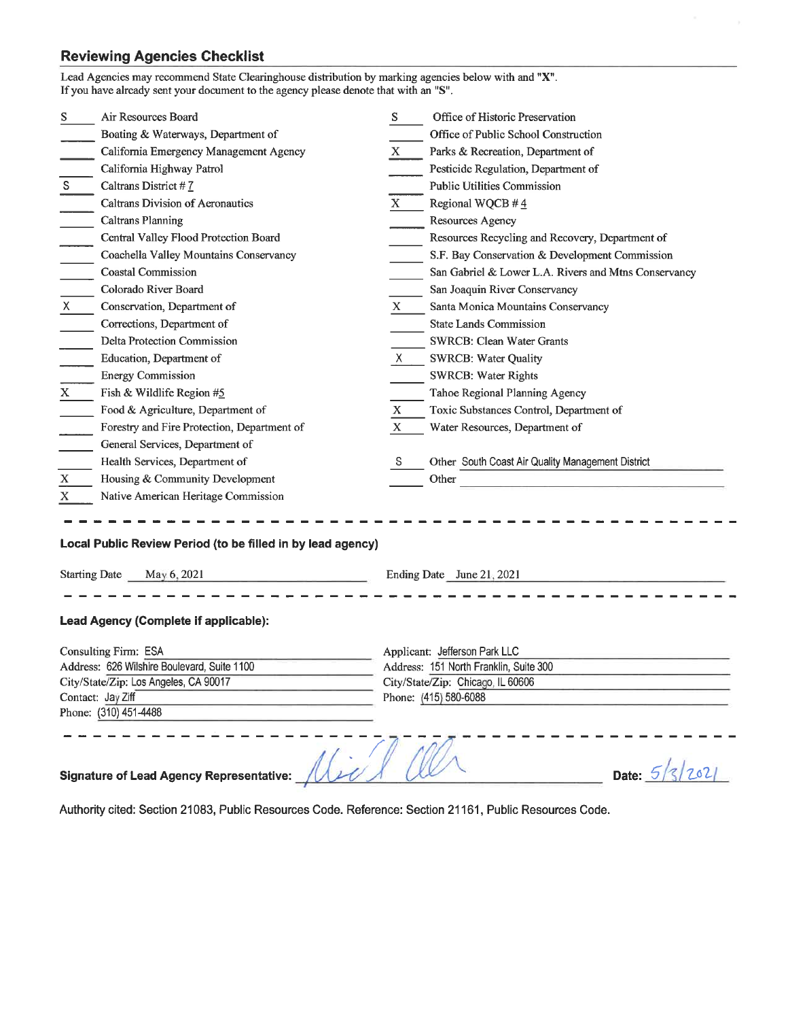## **Reviewing Agencies Checklist**

|                                                                                         | Lead Agencies may recommend State Clearinghouse distribution by marking agencies below with and "X".<br>If you have already sent your document to the agency please denote that with an "S". |                           |                                                                                     |  |  |  |
|-----------------------------------------------------------------------------------------|----------------------------------------------------------------------------------------------------------------------------------------------------------------------------------------------|---------------------------|-------------------------------------------------------------------------------------|--|--|--|
| S                                                                                       | Air Resources Board                                                                                                                                                                          | S.                        | Office of Historic Preservation                                                     |  |  |  |
|                                                                                         | Boating & Waterways, Department of                                                                                                                                                           |                           | Office of Public School Construction                                                |  |  |  |
|                                                                                         | California Emergency Management Agency                                                                                                                                                       | X                         | Parks & Recreation, Department of                                                   |  |  |  |
|                                                                                         | California Highway Patrol                                                                                                                                                                    |                           | Pesticide Regulation, Department of                                                 |  |  |  |
| S                                                                                       | Caltrans District #7                                                                                                                                                                         |                           | <b>Public Utilities Commission</b>                                                  |  |  |  |
|                                                                                         | Caltrans Division of Aeronautics                                                                                                                                                             | $\mathbf X$               | Regional WQCB #4                                                                    |  |  |  |
|                                                                                         | <b>Caltrans Planning</b>                                                                                                                                                                     |                           | Resources Agency                                                                    |  |  |  |
|                                                                                         | Central Valley Flood Protection Board                                                                                                                                                        |                           | Resources Recycling and Recovery, Department of                                     |  |  |  |
|                                                                                         | Coachella Valley Mountains Conservancy                                                                                                                                                       |                           | S.F. Bay Conservation & Development Commission                                      |  |  |  |
|                                                                                         | <b>Coastal Commission</b>                                                                                                                                                                    |                           | San Gabriel & Lower L.A. Rivers and Mtns Conservancy                                |  |  |  |
|                                                                                         | Colorado River Board                                                                                                                                                                         |                           | San Joaquin River Conservancy                                                       |  |  |  |
| $X =$                                                                                   | Conservation, Department of                                                                                                                                                                  | X.                        | Santa Monica Mountains Conservancy                                                  |  |  |  |
|                                                                                         | Corrections, Department of                                                                                                                                                                   |                           | <b>State Lands Commission</b>                                                       |  |  |  |
|                                                                                         | <b>Delta Protection Commission</b>                                                                                                                                                           |                           | SWRCB: Clean Water Grants                                                           |  |  |  |
|                                                                                         | Education, Department of                                                                                                                                                                     | X.                        | <b>SWRCB: Water Quality</b>                                                         |  |  |  |
|                                                                                         | <b>Energy Commission</b>                                                                                                                                                                     |                           | <b>SWRCB: Water Rights</b>                                                          |  |  |  |
| $\mathbf X$                                                                             | Fish & Wildlife Region #5                                                                                                                                                                    |                           | Tahoe Regional Planning Agency                                                      |  |  |  |
|                                                                                         | Food & Agriculture, Department of                                                                                                                                                            | X                         | Toxic Substances Control, Department of                                             |  |  |  |
|                                                                                         | Forestry and Fire Protection, Department of                                                                                                                                                  | X                         | Water Resources, Department of                                                      |  |  |  |
|                                                                                         | General Services, Department of                                                                                                                                                              |                           |                                                                                     |  |  |  |
|                                                                                         | Health Services, Department of                                                                                                                                                               | S                         | Other South Coast Air Quality Management District                                   |  |  |  |
| X                                                                                       | Housing & Community Development                                                                                                                                                              |                           | Other<br>the control of the control of the control of the control of the control of |  |  |  |
| X                                                                                       | Native American Heritage Commission                                                                                                                                                          |                           |                                                                                     |  |  |  |
| Local Public Review Period (to be filled in by lead agency)                             |                                                                                                                                                                                              |                           |                                                                                     |  |  |  |
| <b>Starting Date</b><br>May 6, 2021<br>the control of the control of the control of     |                                                                                                                                                                                              | Ending Date June 21, 2021 |                                                                                     |  |  |  |
| Lead Agency (Complete if applicable):                                                   |                                                                                                                                                                                              |                           |                                                                                     |  |  |  |
| Consulting Firm: ESA                                                                    |                                                                                                                                                                                              |                           | Applicant: Jefferson Park LLC                                                       |  |  |  |
| Address: 626 Wilshire Boulevard, Suite 1100                                             |                                                                                                                                                                                              |                           | Address: 151 North Franklin, Suite 300                                              |  |  |  |
| City/State/Zip: Los Angeles, CA 90017<br>Contact: Jay Ziff                              |                                                                                                                                                                                              |                           | City/State/Zip: Chicago, IL 60606<br>Phone: (415) 580-6088                          |  |  |  |
|                                                                                         | Phone: (310) 451-4488                                                                                                                                                                        |                           |                                                                                     |  |  |  |
| $\sqrt{1-u^2}$<br>2021<br>Date: $5/$<br><b>Signature of Lead Agency Representative:</b> |                                                                                                                                                                                              |                           |                                                                                     |  |  |  |

Authority cited: Section 21083, Public Resources Code. Reference: Section 21161, Public Resources Code.